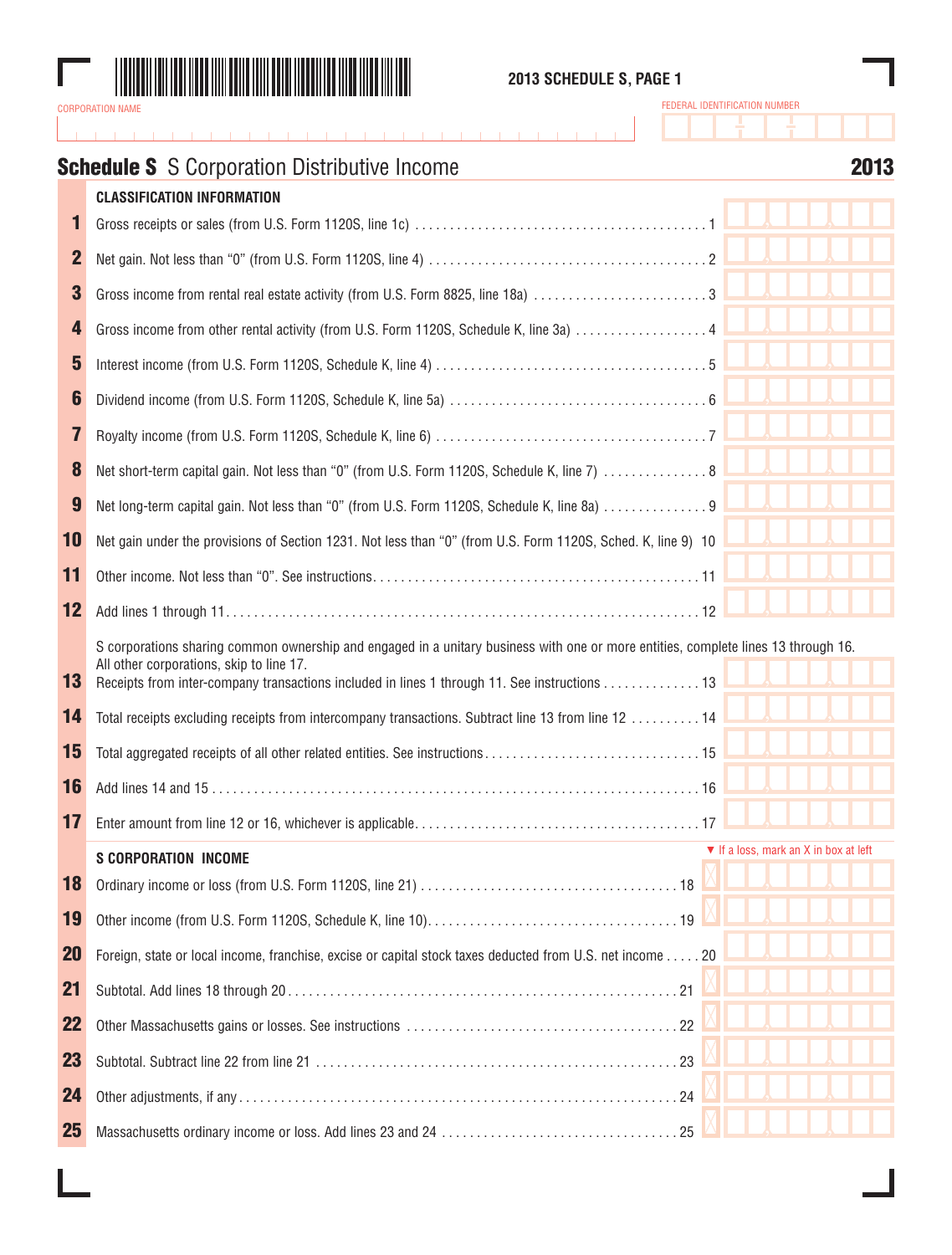

## **2013 SCHEDULE S, PAGE 1**

# **Schedule S** S Corporation Distributive Income **2013**

|           | <b>CLASSIFICATION INFORMATION</b>                                                                                                                                                                                                                                              |                                       |
|-----------|--------------------------------------------------------------------------------------------------------------------------------------------------------------------------------------------------------------------------------------------------------------------------------|---------------------------------------|
| 1         |                                                                                                                                                                                                                                                                                |                                       |
| 2         |                                                                                                                                                                                                                                                                                |                                       |
| 3         |                                                                                                                                                                                                                                                                                |                                       |
| 4         |                                                                                                                                                                                                                                                                                |                                       |
| 5         |                                                                                                                                                                                                                                                                                |                                       |
| 6         |                                                                                                                                                                                                                                                                                |                                       |
| 7         |                                                                                                                                                                                                                                                                                |                                       |
| 8         | Net short-term capital gain. Not less than "0" (from U.S. Form 1120S, Schedule K, line 7)  8                                                                                                                                                                                   |                                       |
| 9         | Net long-term capital gain. Not less than "0" (from U.S. Form 1120S, Schedule K, line 8a)  9                                                                                                                                                                                   |                                       |
| 10        | Net gain under the provisions of Section 1231. Not less than "0" (from U.S. Form 1120S, Sched. K, line 9) 10                                                                                                                                                                   |                                       |
| 11        |                                                                                                                                                                                                                                                                                |                                       |
| 12        |                                                                                                                                                                                                                                                                                |                                       |
| 13        | S corporations sharing common ownership and engaged in a unitary business with one or more entities, complete lines 13 through 16.<br>All other corporations, skip to line 17.<br>Receipts from inter-company transactions included in lines 1 through 11. See instructions 13 |                                       |
| 14        | Total receipts excluding receipts from intercompany transactions. Subtract line 13 from line 12  14                                                                                                                                                                            |                                       |
| 15        |                                                                                                                                                                                                                                                                                |                                       |
| 16        |                                                                                                                                                                                                                                                                                |                                       |
| 17        |                                                                                                                                                                                                                                                                                |                                       |
|           | <b>S CORPORATION INCOME</b>                                                                                                                                                                                                                                                    | ▼ If a loss, mark an X in box at left |
| 18        |                                                                                                                                                                                                                                                                                |                                       |
| 19        |                                                                                                                                                                                                                                                                                |                                       |
| <b>20</b> | Foreign, state or local income, franchise, excise or capital stock taxes deducted from U.S. net income 20                                                                                                                                                                      |                                       |
| 21        |                                                                                                                                                                                                                                                                                |                                       |
| 22        |                                                                                                                                                                                                                                                                                |                                       |
| 23        |                                                                                                                                                                                                                                                                                |                                       |
| 24        |                                                                                                                                                                                                                                                                                |                                       |
| 25        |                                                                                                                                                                                                                                                                                |                                       |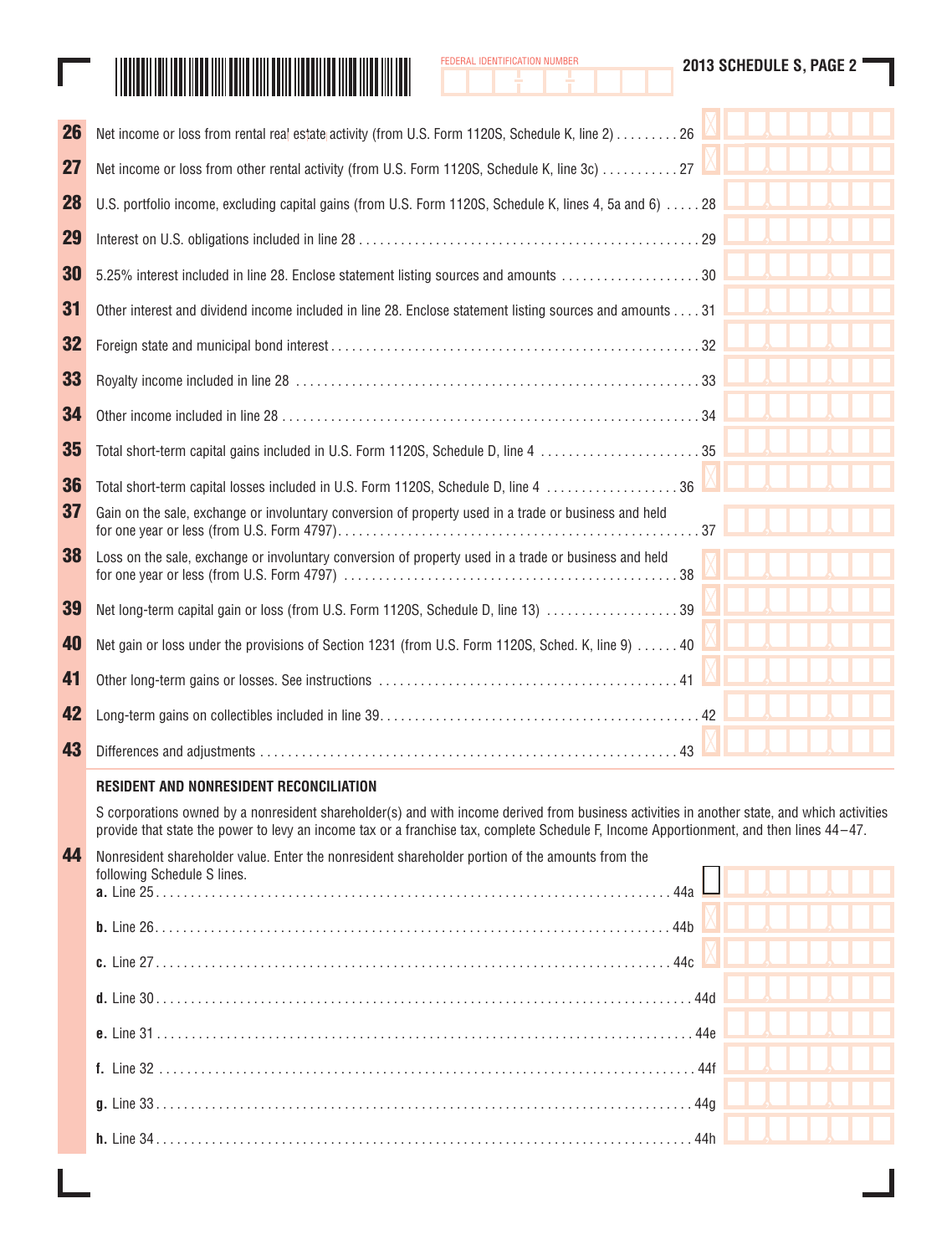|  | <b>DERAL IDENTIFICATION NUMBER</b> |
|--|------------------------------------|
|  |                                    |

| <u> Harry Harry Harry Harry Harry Harry Harry Harry Harry Harry Harry Harry Harry Harry Harry Harry Harry Harry Harry Harry Harry Harry Harry Harry Harry Harry Harry Harry Harry Harry Harry Harry Harry Harry Harry Harry Harr</u> |
|--------------------------------------------------------------------------------------------------------------------------------------------------------------------------------------------------------------------------------------|
|                                                                                                                                                                                                                                      |

Γ

| <b>26</b> | Net income or loss from rental real estate activity (from U.S. Form 1120S, Schedule K, line 2) 26                                                                                                                                                                                       |     |  |
|-----------|-----------------------------------------------------------------------------------------------------------------------------------------------------------------------------------------------------------------------------------------------------------------------------------------|-----|--|
| 27        | Net income or loss from other rental activity (from U.S. Form 1120S, Schedule K, line 3c)  27                                                                                                                                                                                           |     |  |
| 28        | U.S. portfolio income, excluding capital gains (from U.S. Form 1120S, Schedule K, lines 4, 5a and 6)  28                                                                                                                                                                                |     |  |
| 29        |                                                                                                                                                                                                                                                                                         |     |  |
| 30        |                                                                                                                                                                                                                                                                                         |     |  |
| 31        | Other interest and dividend income included in line 28. Enclose statement listing sources and amounts 31                                                                                                                                                                                |     |  |
| 32        |                                                                                                                                                                                                                                                                                         |     |  |
| 33        |                                                                                                                                                                                                                                                                                         |     |  |
| 34        |                                                                                                                                                                                                                                                                                         |     |  |
| 35        | Total short-term capital gains included in U.S. Form 1120S, Schedule D, line 4 35                                                                                                                                                                                                       |     |  |
| 36        | Total short-term capital losses included in U.S. Form 1120S, Schedule D, line 4  36                                                                                                                                                                                                     |     |  |
| 37        | Gain on the sale, exchange or involuntary conversion of property used in a trade or business and held                                                                                                                                                                                   |     |  |
| 38        | Loss on the sale, exchange or involuntary conversion of property used in a trade or business and held                                                                                                                                                                                   |     |  |
| 39        | Net long-term capital gain or loss (from U.S. Form 1120S, Schedule D, line 13) 39                                                                                                                                                                                                       |     |  |
| 40        | Net gain or loss under the provisions of Section 1231 (from U.S. Form 1120S, Sched. K, line 9)  40                                                                                                                                                                                      |     |  |
| 41        |                                                                                                                                                                                                                                                                                         |     |  |
| 42        |                                                                                                                                                                                                                                                                                         |     |  |
| 43        |                                                                                                                                                                                                                                                                                         |     |  |
|           | RESIDENT AND NONRESIDENT RECONCILIATION                                                                                                                                                                                                                                                 |     |  |
|           | S corporations owned by a nonresident shareholder(s) and with income derived from business activities in another state, and which activities<br>provide that state the power to levy an income tax or a franchise tax, complete Schedule F, Income Apportionment, and then lines 44-47. |     |  |
| 44        | Nonresident shareholder value. Enter the nonresident shareholder portion of the amounts from the<br>following Schedule S lines.                                                                                                                                                         |     |  |
|           |                                                                                                                                                                                                                                                                                         |     |  |
|           |                                                                                                                                                                                                                                                                                         |     |  |
|           |                                                                                                                                                                                                                                                                                         |     |  |
|           |                                                                                                                                                                                                                                                                                         |     |  |
|           |                                                                                                                                                                                                                                                                                         |     |  |
|           |                                                                                                                                                                                                                                                                                         |     |  |
|           |                                                                                                                                                                                                                                                                                         | 44h |  |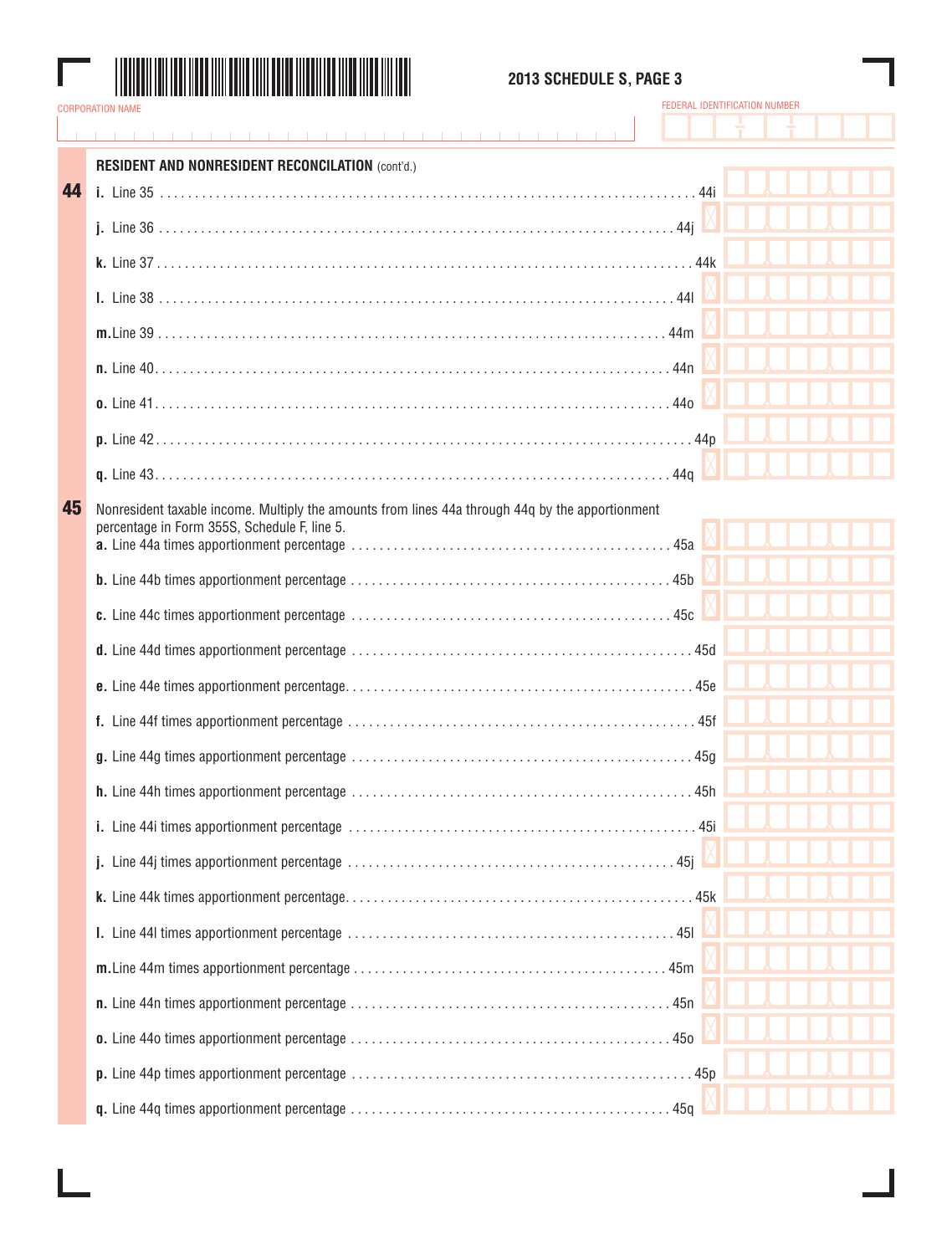

### **2013 SCHEDULE S, PAGE 3**

|    | <b>RESIDENT AND NONRESIDENT RECONCILATION (cont'd.)</b>                                                                                          |  |  |
|----|--------------------------------------------------------------------------------------------------------------------------------------------------|--|--|
| 44 |                                                                                                                                                  |  |  |
|    |                                                                                                                                                  |  |  |
|    |                                                                                                                                                  |  |  |
|    |                                                                                                                                                  |  |  |
|    |                                                                                                                                                  |  |  |
|    |                                                                                                                                                  |  |  |
|    |                                                                                                                                                  |  |  |
|    |                                                                                                                                                  |  |  |
|    |                                                                                                                                                  |  |  |
|    |                                                                                                                                                  |  |  |
| 45 | Nonresident taxable income. Multiply the amounts from lines 44a through 44g by the apportionment<br>percentage in Form 355S, Schedule F, line 5. |  |  |
|    |                                                                                                                                                  |  |  |
|    |                                                                                                                                                  |  |  |
|    |                                                                                                                                                  |  |  |
|    |                                                                                                                                                  |  |  |
|    |                                                                                                                                                  |  |  |
|    |                                                                                                                                                  |  |  |
|    |                                                                                                                                                  |  |  |
|    |                                                                                                                                                  |  |  |
|    |                                                                                                                                                  |  |  |
|    |                                                                                                                                                  |  |  |
|    |                                                                                                                                                  |  |  |
|    |                                                                                                                                                  |  |  |
|    |                                                                                                                                                  |  |  |
|    |                                                                                                                                                  |  |  |
|    |                                                                                                                                                  |  |  |
|    |                                                                                                                                                  |  |  |
|    |                                                                                                                                                  |  |  |
|    |                                                                                                                                                  |  |  |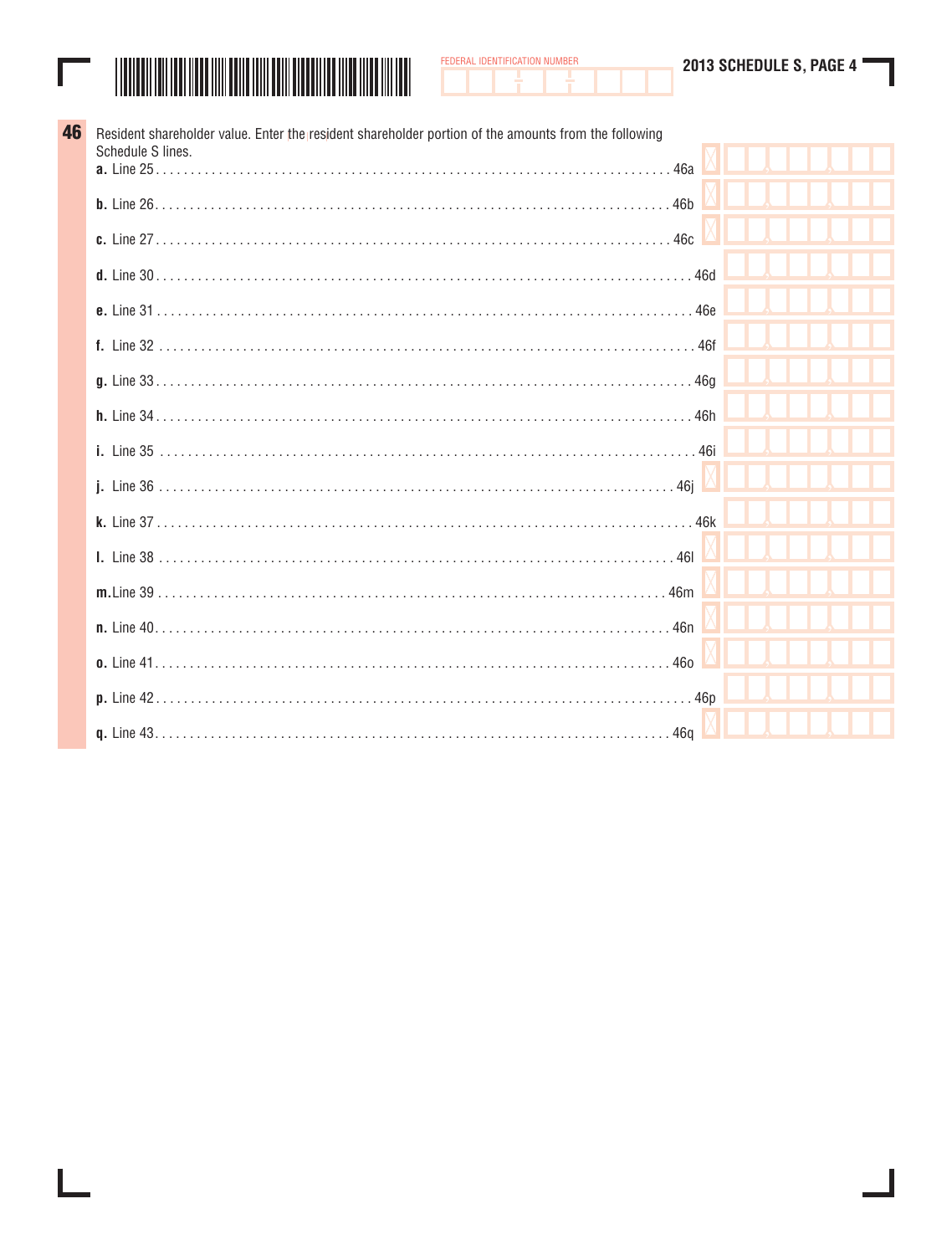|  | 2013 SCHEDULE S, PAGE 4 |  |
|--|-------------------------|--|
|  |                         |  |



FEDERAL IDENTIFICATION NUMBER

| 46 | Resident shareholder value. Enter the resident shareholder portion of the amounts from the following<br>Schedule S lines. |  |  |
|----|---------------------------------------------------------------------------------------------------------------------------|--|--|
|    |                                                                                                                           |  |  |
|    | <b>b.</b> Line $26, 36, 46$                                                                                               |  |  |
|    |                                                                                                                           |  |  |
|    |                                                                                                                           |  |  |
|    |                                                                                                                           |  |  |
|    |                                                                                                                           |  |  |
|    |                                                                                                                           |  |  |
|    |                                                                                                                           |  |  |
|    |                                                                                                                           |  |  |
|    |                                                                                                                           |  |  |
|    |                                                                                                                           |  |  |
|    |                                                                                                                           |  |  |
|    |                                                                                                                           |  |  |
|    |                                                                                                                           |  |  |
|    |                                                                                                                           |  |  |
|    |                                                                                                                           |  |  |
|    |                                                                                                                           |  |  |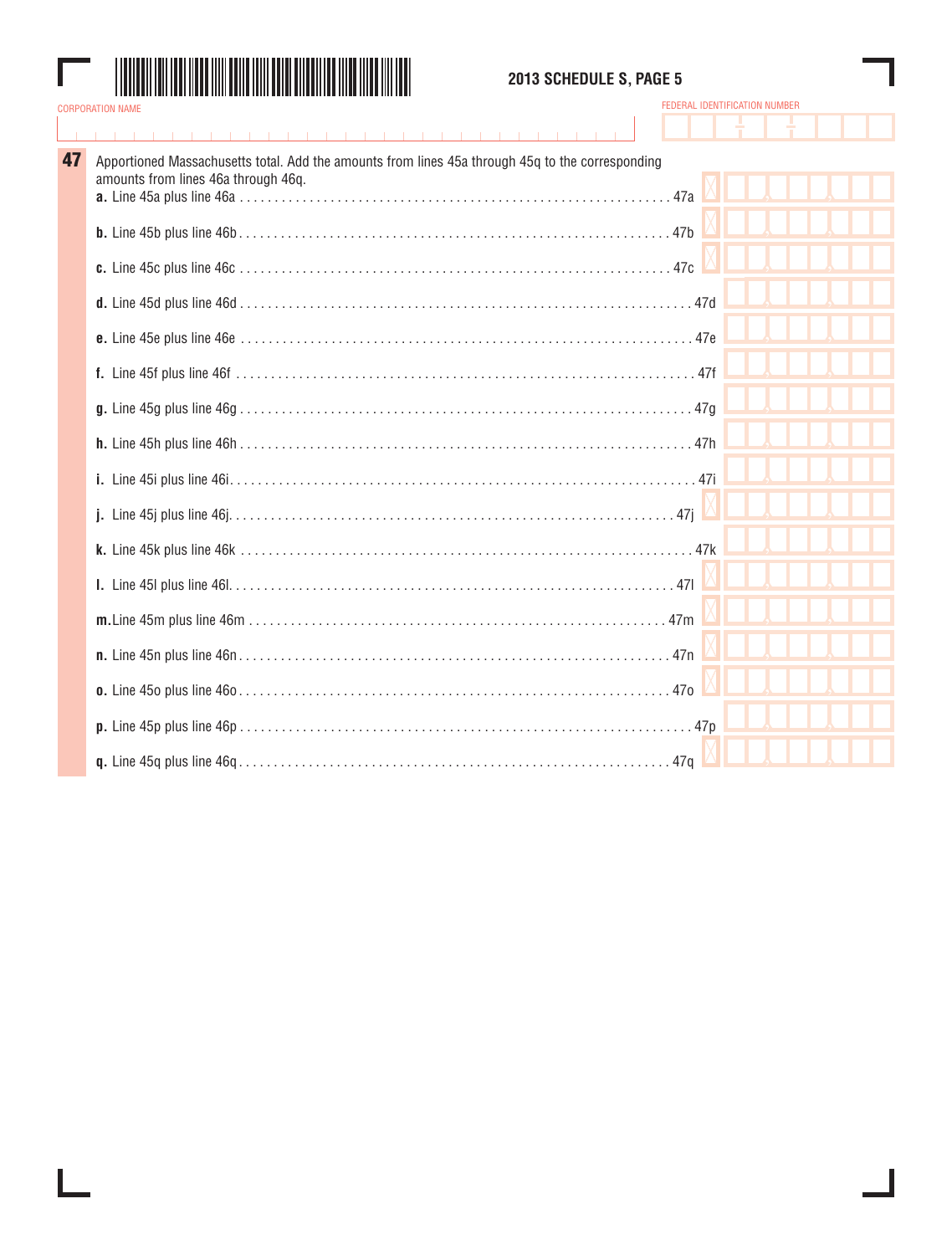

## **2013 SCHEDULE S, PAGE 5**

| 47 | Apportioned Massachusetts total. Add the amounts from lines 45a through 45q to the corresponding<br>amounts from lines 46a through 46q. |  |
|----|-----------------------------------------------------------------------------------------------------------------------------------------|--|
|    |                                                                                                                                         |  |
|    |                                                                                                                                         |  |
|    |                                                                                                                                         |  |
|    |                                                                                                                                         |  |
|    |                                                                                                                                         |  |
|    |                                                                                                                                         |  |
|    |                                                                                                                                         |  |
|    |                                                                                                                                         |  |
|    |                                                                                                                                         |  |
|    |                                                                                                                                         |  |
|    |                                                                                                                                         |  |
|    |                                                                                                                                         |  |
|    |                                                                                                                                         |  |
|    |                                                                                                                                         |  |
|    |                                                                                                                                         |  |
|    |                                                                                                                                         |  |